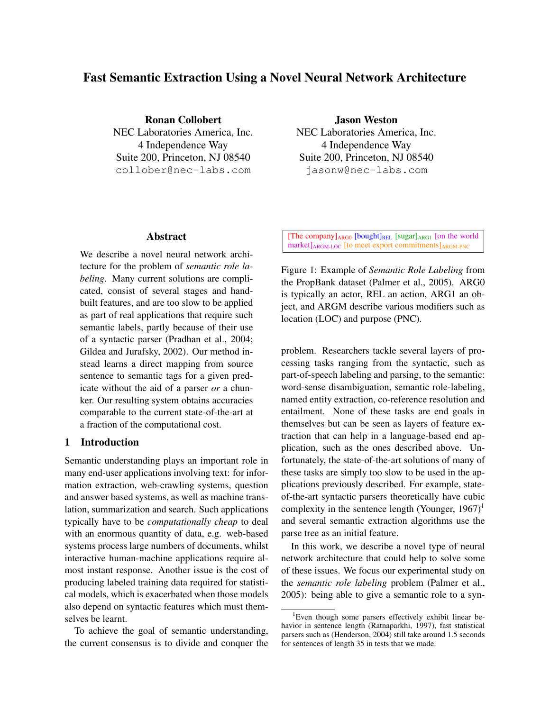# Fast Semantic Extraction Using a Novel Neural Network Architecture

Ronan Collobert NEC Laboratories America, Inc. 4 Independence Way Suite 200, Princeton, NJ 08540 collober@nec-labs.com

# Abstract

We describe a novel neural network architecture for the problem of *semantic role labeling*. Many current solutions are complicated, consist of several stages and handbuilt features, and are too slow to be applied as part of real applications that require such semantic labels, partly because of their use of a syntactic parser (Pradhan et al., 2004; Gildea and Jurafsky, 2002). Our method instead learns a direct mapping from source sentence to semantic tags for a given predicate without the aid of a parser *or* a chunker. Our resulting system obtains accuracies comparable to the current state-of-the-art at a fraction of the computational cost.

# 1 Introduction

Semantic understanding plays an important role in many end-user applications involving text: for information extraction, web-crawling systems, question and answer based systems, as well as machine translation, summarization and search. Such applications typically have to be *computationally cheap* to deal with an enormous quantity of data, e.g. web-based systems process large numbers of documents, whilst interactive human-machine applications require almost instant response. Another issue is the cost of producing labeled training data required for statistical models, which is exacerbated when those models also depend on syntactic features which must themselves be learnt.

To achieve the goal of semantic understanding, the current consensus is to divide and conquer the Jason Weston

NEC Laboratories America, Inc. 4 Independence Way Suite 200, Princeton, NJ 08540 jasonw@nec-labs.com

[The company]ARG0 [bought]REL [sugar]ARG1 [on the world market]<sub>ARGM-LOC</sub> [to meet export commitments]<sub>ARGM-PNC</sub>

Figure 1: Example of *Semantic Role Labeling* from the PropBank dataset (Palmer et al., 2005). ARG0 is typically an actor, REL an action, ARG1 an object, and ARGM describe various modifiers such as location (LOC) and purpose (PNC).

problem. Researchers tackle several layers of processing tasks ranging from the syntactic, such as part-of-speech labeling and parsing, to the semantic: word-sense disambiguation, semantic role-labeling, named entity extraction, co-reference resolution and entailment. None of these tasks are end goals in themselves but can be seen as layers of feature extraction that can help in a language-based end application, such as the ones described above. Unfortunately, the state-of-the-art solutions of many of these tasks are simply too slow to be used in the applications previously described. For example, stateof-the-art syntactic parsers theoretically have cubic complexity in the sentence length (Younger,  $1967$ )<sup>1</sup> and several semantic extraction algorithms use the parse tree as an initial feature.

In this work, we describe a novel type of neural network architecture that could help to solve some of these issues. We focus our experimental study on the *semantic role labeling* problem (Palmer et al., 2005): being able to give a semantic role to a syn-

<sup>&</sup>lt;sup>1</sup>Even though some parsers effectively exhibit linear behavior in sentence length (Ratnaparkhi, 1997), fast statistical parsers such as (Henderson, 2004) still take around 1.5 seconds for sentences of length 35 in tests that we made.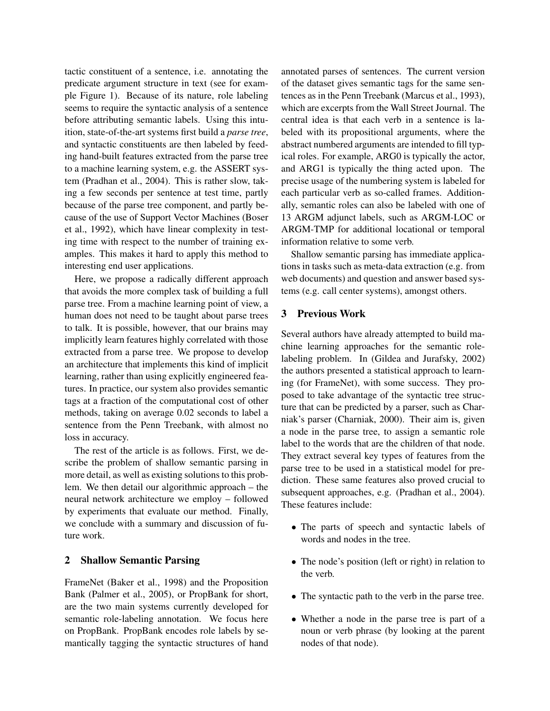tactic constituent of a sentence, i.e. annotating the predicate argument structure in text (see for example Figure 1). Because of its nature, role labeling seems to require the syntactic analysis of a sentence before attributing semantic labels. Using this intuition, state-of-the-art systems first build a *parse tree*, and syntactic constituents are then labeled by feeding hand-built features extracted from the parse tree to a machine learning system, e.g. the ASSERT system (Pradhan et al., 2004). This is rather slow, taking a few seconds per sentence at test time, partly because of the parse tree component, and partly because of the use of Support Vector Machines (Boser et al., 1992), which have linear complexity in testing time with respect to the number of training examples. This makes it hard to apply this method to interesting end user applications.

Here, we propose a radically different approach that avoids the more complex task of building a full parse tree. From a machine learning point of view, a human does not need to be taught about parse trees to talk. It is possible, however, that our brains may implicitly learn features highly correlated with those extracted from a parse tree. We propose to develop an architecture that implements this kind of implicit learning, rather than using explicitly engineered features. In practice, our system also provides semantic tags at a fraction of the computational cost of other methods, taking on average 0.02 seconds to label a sentence from the Penn Treebank, with almost no loss in accuracy.

The rest of the article is as follows. First, we describe the problem of shallow semantic parsing in more detail, as well as existing solutions to this problem. We then detail our algorithmic approach – the neural network architecture we employ – followed by experiments that evaluate our method. Finally, we conclude with a summary and discussion of future work.

# 2 Shallow Semantic Parsing

FrameNet (Baker et al., 1998) and the Proposition Bank (Palmer et al., 2005), or PropBank for short, are the two main systems currently developed for semantic role-labeling annotation. We focus here on PropBank. PropBank encodes role labels by semantically tagging the syntactic structures of hand annotated parses of sentences. The current version of the dataset gives semantic tags for the same sentences as in the Penn Treebank (Marcus et al., 1993), which are excerpts from the Wall Street Journal. The central idea is that each verb in a sentence is labeled with its propositional arguments, where the abstract numbered arguments are intended to fill typical roles. For example, ARG0 is typically the actor, and ARG1 is typically the thing acted upon. The precise usage of the numbering system is labeled for each particular verb as so-called frames. Additionally, semantic roles can also be labeled with one of 13 ARGM adjunct labels, such as ARGM-LOC or ARGM-TMP for additional locational or temporal information relative to some verb.

Shallow semantic parsing has immediate applications in tasks such as meta-data extraction (e.g. from web documents) and question and answer based systems (e.g. call center systems), amongst others.

# 3 Previous Work

Several authors have already attempted to build machine learning approaches for the semantic rolelabeling problem. In (Gildea and Jurafsky, 2002) the authors presented a statistical approach to learning (for FrameNet), with some success. They proposed to take advantage of the syntactic tree structure that can be predicted by a parser, such as Charniak's parser (Charniak, 2000). Their aim is, given a node in the parse tree, to assign a semantic role label to the words that are the children of that node. They extract several key types of features from the parse tree to be used in a statistical model for prediction. These same features also proved crucial to subsequent approaches, e.g. (Pradhan et al., 2004). These features include:

- The parts of speech and syntactic labels of words and nodes in the tree.
- The node's position (left or right) in relation to the verb.
- The syntactic path to the verb in the parse tree.
- Whether a node in the parse tree is part of a noun or verb phrase (by looking at the parent nodes of that node).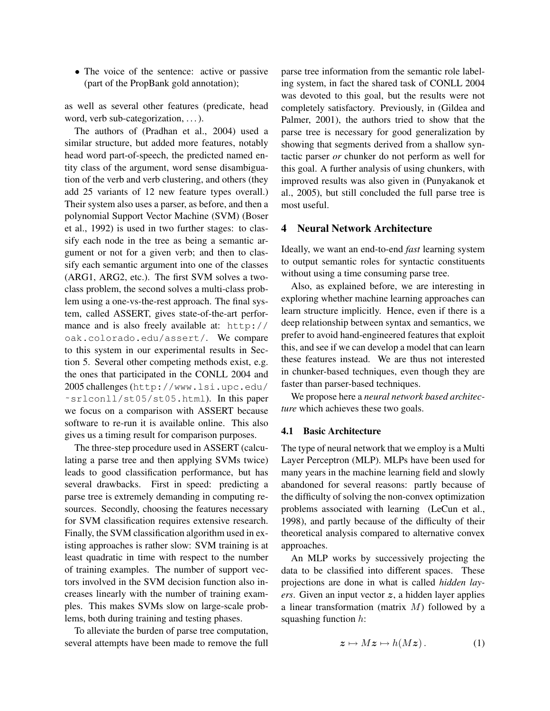• The voice of the sentence: active or passive (part of the PropBank gold annotation);

as well as several other features (predicate, head word, verb sub-categorization, ... ).

The authors of (Pradhan et al., 2004) used a similar structure, but added more features, notably head word part-of-speech, the predicted named entity class of the argument, word sense disambiguation of the verb and verb clustering, and others (they add 25 variants of 12 new feature types overall.) Their system also uses a parser, as before, and then a polynomial Support Vector Machine (SVM) (Boser et al., 1992) is used in two further stages: to classify each node in the tree as being a semantic argument or not for a given verb; and then to classify each semantic argument into one of the classes (ARG1, ARG2, etc.). The first SVM solves a twoclass problem, the second solves a multi-class problem using a one-vs-the-rest approach. The final system, called ASSERT, gives state-of-the-art performance and is also freely available at: http:// oak.colorado.edu/assert/. We compare to this system in our experimental results in Section 5. Several other competing methods exist, e.g. the ones that participated in the CONLL 2004 and 2005 challenges (http://www.lsi.upc.edu/ ˜srlconll/st05/st05.html). In this paper we focus on a comparison with ASSERT because software to re-run it is available online. This also gives us a timing result for comparison purposes.

The three-step procedure used in ASSERT (calculating a parse tree and then applying SVMs twice) leads to good classification performance, but has several drawbacks. First in speed: predicting a parse tree is extremely demanding in computing resources. Secondly, choosing the features necessary for SVM classification requires extensive research. Finally, the SVM classification algorithm used in existing approaches is rather slow: SVM training is at least quadratic in time with respect to the number of training examples. The number of support vectors involved in the SVM decision function also increases linearly with the number of training examples. This makes SVMs slow on large-scale problems, both during training and testing phases.

To alleviate the burden of parse tree computation, several attempts have been made to remove the full parse tree information from the semantic role labeling system, in fact the shared task of CONLL 2004 was devoted to this goal, but the results were not completely satisfactory. Previously, in (Gildea and Palmer, 2001), the authors tried to show that the parse tree is necessary for good generalization by showing that segments derived from a shallow syntactic parser *or* chunker do not perform as well for this goal. A further analysis of using chunkers, with improved results was also given in (Punyakanok et al., 2005), but still concluded the full parse tree is most useful.

### 4 Neural Network Architecture

Ideally, we want an end-to-end *fast* learning system to output semantic roles for syntactic constituents without using a time consuming parse tree.

Also, as explained before, we are interesting in exploring whether machine learning approaches can learn structure implicitly. Hence, even if there is a deep relationship between syntax and semantics, we prefer to avoid hand-engineered features that exploit this, and see if we can develop a model that can learn these features instead. We are thus not interested in chunker-based techniques, even though they are faster than parser-based techniques.

We propose here a *neural network based architecture* which achieves these two goals.

#### 4.1 Basic Architecture

The type of neural network that we employ is a Multi Layer Perceptron (MLP). MLPs have been used for many years in the machine learning field and slowly abandoned for several reasons: partly because of the difficulty of solving the non-convex optimization problems associated with learning (LeCun et al., 1998), and partly because of the difficulty of their theoretical analysis compared to alternative convex approaches.

An MLP works by successively projecting the data to be classified into different spaces. These projections are done in what is called *hidden layers*. Given an input vector z, a hidden layer applies a linear transformation (matrix  $M$ ) followed by a squashing function h:

$$
z \mapsto Mz \mapsto h(Mz). \tag{1}
$$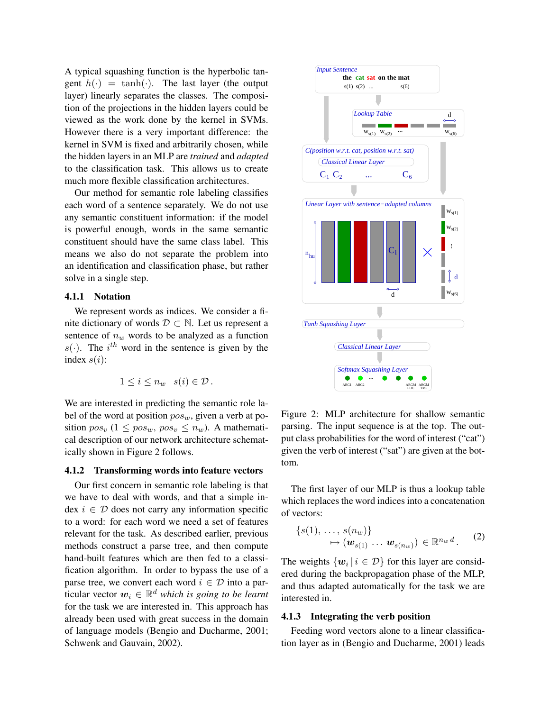A typical squashing function is the hyperbolic tangent  $h(\cdot) = \tanh(\cdot)$ . The last layer (the output layer) linearly separates the classes. The composition of the projections in the hidden layers could be viewed as the work done by the kernel in SVMs. However there is a very important difference: the kernel in SVM is fixed and arbitrarily chosen, while the hidden layers in an MLP are *trained* and *adapted* to the classification task. This allows us to create much more flexible classification architectures.

Our method for semantic role labeling classifies each word of a sentence separately. We do not use any semantic constituent information: if the model is powerful enough, words in the same semantic constituent should have the same class label. This means we also do not separate the problem into an identification and classification phase, but rather solve in a single step.

### 4.1.1 Notation

We represent words as indices. We consider a finite dictionary of words  $D \subset \mathbb{N}$ . Let us represent a sentence of  $n_w$  words to be analyzed as a function  $s(\cdot)$ . The i<sup>th</sup> word in the sentence is given by the index  $s(i)$ :

$$
1 \leq i \leq n_w \quad s(i) \in \mathcal{D} \, .
$$

We are interested in predicting the semantic role label of the word at position  $pos_w$ , given a verb at position  $pos_v$  (1  $\leq pos_w$ ,  $pos_v \leq n_w$ ). A mathematical description of our network architecture schematically shown in Figure 2 follows.

#### 4.1.2 Transforming words into feature vectors

Our first concern in semantic role labeling is that we have to deal with words, and that a simple index  $i \in \mathcal{D}$  does not carry any information specific to a word: for each word we need a set of features relevant for the task. As described earlier, previous methods construct a parse tree, and then compute hand-built features which are then fed to a classification algorithm. In order to bypass the use of a parse tree, we convert each word  $i \in \mathcal{D}$  into a particular vector  $\boldsymbol{w}_i \in \mathbb{R}^d$  which is going to be learnt for the task we are interested in. This approach has already been used with great success in the domain of language models (Bengio and Ducharme, 2001; Schwenk and Gauvain, 2002).



Figure 2: MLP architecture for shallow semantic parsing. The input sequence is at the top. The output class probabilities for the word of interest ("cat") given the verb of interest ("sat") are given at the bottom.

The first layer of our MLP is thus a lookup table which replaces the word indices into a concatenation of vectors:

$$
{s(1), \ldots, s(n_w)}\n\mapsto (\mathbf{w}_{s(1)} \ldots \mathbf{w}_{s(n_w)}) \in \mathbb{R}^{n_w d}.
$$
 (2)

The weights  $\{w_i \mid i \in \mathcal{D}\}$  for this layer are considered during the backpropagation phase of the MLP, and thus adapted automatically for the task we are interested in.

# 4.1.3 Integrating the verb position

Feeding word vectors alone to a linear classification layer as in (Bengio and Ducharme, 2001) leads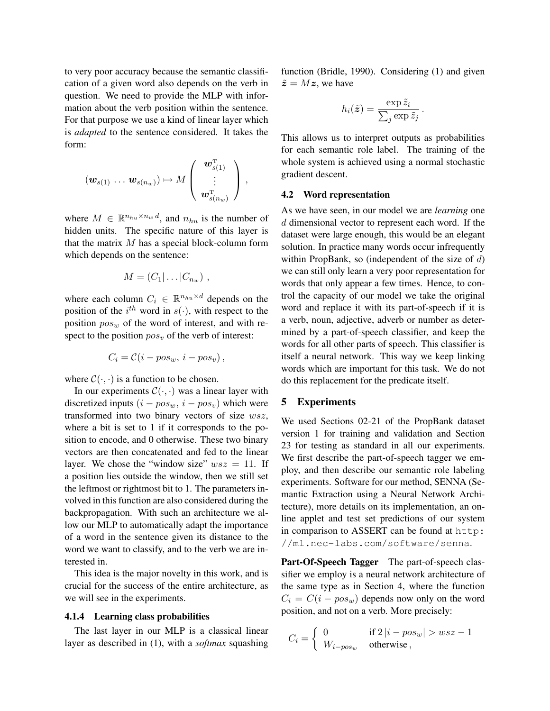to very poor accuracy because the semantic classification of a given word also depends on the verb in question. We need to provide the MLP with information about the verb position within the sentence. For that purpose we use a kind of linear layer which is *adapted* to the sentence considered. It takes the form:

$$
(\boldsymbol{w}_{s(1)} \ldots \boldsymbol{w}_{s(n_w)}) \mapsto M \left( \begin{array}{c} \boldsymbol{w}_{s(1)}^{\mathrm{T}} \\ \vdots \\ \boldsymbol{w}_{s(n_w)}^{\mathrm{T}} \end{array} \right),
$$

where  $M \in \mathbb{R}^{n_{hu} \times n_w d}$ , and  $n_{hu}$  is the number of hidden units. The specific nature of this layer is that the matrix  $M$  has a special block-column form which depends on the sentence:

$$
M=(C_1|\ldots|C_{n_w})\ ,
$$

where each column  $C_i \in \mathbb{R}^{n_{hu} \times d}$  depends on the position of the  $i^{th}$  word in  $s(\cdot)$ , with respect to the position  $pos_w$  of the word of interest, and with respect to the position  $pos_v$  of the verb of interest:

$$
C_i = \mathcal{C}(i - pos_w, i - pos_v),
$$

where  $C(\cdot, \cdot)$  is a function to be chosen.

In our experiments  $C(\cdot, \cdot)$  was a linear layer with discretized inputs  $(i - pos_w, i - pos_v)$  which were transformed into two binary vectors of size wsz, where a bit is set to 1 if it corresponds to the position to encode, and 0 otherwise. These two binary vectors are then concatenated and fed to the linear layer. We chose the "window size"  $wsz = 11$ . If a position lies outside the window, then we still set the leftmost or rightmost bit to 1. The parameters involved in this function are also considered during the backpropagation. With such an architecture we allow our MLP to automatically adapt the importance of a word in the sentence given its distance to the word we want to classify, and to the verb we are interested in.

This idea is the major novelty in this work, and is crucial for the success of the entire architecture, as we will see in the experiments.

#### 4.1.4 Learning class probabilities

The last layer in our MLP is a classical linear layer as described in (1), with a *softmax* squashing function (Bridle, 1990). Considering (1) and given  $\tilde{z} = Mz$ , we have

$$
h_i(\tilde{\bm{z}}) = \frac{\exp{\tilde{z}_i}}{\sum_j \exp{\tilde{z}_j}}
$$

.

This allows us to interpret outputs as probabilities for each semantic role label. The training of the whole system is achieved using a normal stochastic gradient descent.

#### 4.2 Word representation

As we have seen, in our model we are *learning* one d dimensional vector to represent each word. If the dataset were large enough, this would be an elegant solution. In practice many words occur infrequently within PropBank, so (independent of the size of  $d$ ) we can still only learn a very poor representation for words that only appear a few times. Hence, to control the capacity of our model we take the original word and replace it with its part-of-speech if it is a verb, noun, adjective, adverb or number as determined by a part-of-speech classifier, and keep the words for all other parts of speech. This classifier is itself a neural network. This way we keep linking words which are important for this task. We do not do this replacement for the predicate itself.

## 5 Experiments

We used Sections 02-21 of the PropBank dataset version 1 for training and validation and Section 23 for testing as standard in all our experiments. We first describe the part-of-speech tagger we employ, and then describe our semantic role labeling experiments. Software for our method, SENNA (Semantic Extraction using a Neural Network Architecture), more details on its implementation, an online applet and test set predictions of our system in comparison to ASSERT can be found at http: //ml.nec-labs.com/software/senna.

Part-Of-Speech Tagger The part-of-speech classifier we employ is a neural network architecture of the same type as in Section 4, where the function  $C_i = C(i - pos_w)$  depends now only on the word position, and not on a verb. More precisely:

$$
C_i = \begin{cases} 0 & \text{if } 2|i - pos_w| > wsz - 1\\ W_{i - pos_w} & \text{otherwise} \end{cases}
$$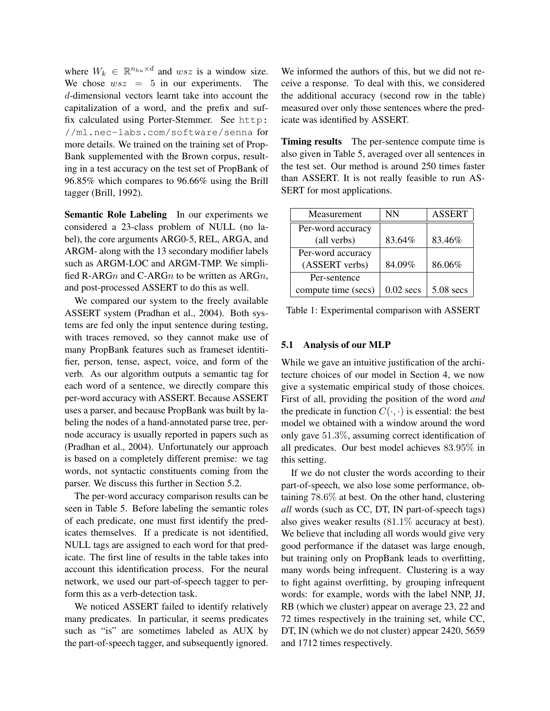where  $W_k \in \mathbb{R}^{n_{hu} \times d}$  and  $wsz$  is a window size. We chose  $wsz = 5$  in our experiments. The d-dimensional vectors learnt take into account the capitalization of a word, and the prefix and suffix calculated using Porter-Stemmer. See http: //ml.nec-labs.com/software/senna for more details. We trained on the training set of Prop-Bank supplemented with the Brown corpus, resulting in a test accuracy on the test set of PropBank of 96.85% which compares to 96.66% using the Brill tagger (Brill, 1992).

Semantic Role Labeling In our experiments we considered a 23-class problem of NULL (no label), the core arguments ARG0-5, REL, ARGA, and ARGM- along with the 13 secondary modifier labels such as ARGM-LOC and ARGM-TMP. We simplified R-ARGn and C-ARGn to be written as ARGn, and post-processed ASSERT to do this as well.

We compared our system to the freely available ASSERT system (Pradhan et al., 2004). Both systems are fed only the input sentence during testing, with traces removed, so they cannot make use of many PropBank features such as frameset identitifier, person, tense, aspect, voice, and form of the verb. As our algorithm outputs a semantic tag for each word of a sentence, we directly compare this per-word accuracy with ASSERT. Because ASSERT uses a parser, and because PropBank was built by labeling the nodes of a hand-annotated parse tree, pernode accuracy is usually reported in papers such as (Pradhan et al., 2004). Unfortunately our approach is based on a completely different premise: we tag words, not syntactic constituents coming from the parser. We discuss this further in Section 5.2.

The per-word accuracy comparison results can be seen in Table 5. Before labeling the semantic roles of each predicate, one must first identify the predicates themselves. If a predicate is not identified, NULL tags are assigned to each word for that predicate. The first line of results in the table takes into account this identification process. For the neural network, we used our part-of-speech tagger to perform this as a verb-detection task.

We noticed ASSERT failed to identify relatively many predicates. In particular, it seems predicates such as "is" are sometimes labeled as AUX by the part-of-speech tagger, and subsequently ignored.

We informed the authors of this, but we did not receive a response. To deal with this, we considered the additional accuracy (second row in the table) measured over only those sentences where the predicate was identified by ASSERT.

Timing results The per-sentence compute time is also given in Table 5, averaged over all sentences in the test set. Our method is around 250 times faster than ASSERT. It is not really feasible to run AS-SERT for most applications.

| Measurement         | <b>NN</b>   | <b>ASSERT</b> |
|---------------------|-------------|---------------|
| Per-word accuracy   |             |               |
| (all verbs)         | 83.64%      | 83.46%        |
| Per-word accuracy   |             |               |
| (ASSERT verbs)      | 84.09%      | 86.06%        |
| Per-sentence        |             |               |
| compute time (secs) | $0.02$ secs | $5.08$ secs   |

Table 1: Experimental comparison with ASSERT

#### 5.1 Analysis of our MLP

While we gave an intuitive justification of the architecture choices of our model in Section 4, we now give a systematic empirical study of those choices. First of all, providing the position of the word *and* the predicate in function  $C(\cdot, \cdot)$  is essential: the best model we obtained with a window around the word only gave 51.3%, assuming correct identification of all predicates. Our best model achieves 83.95% in this setting.

If we do not cluster the words according to their part-of-speech, we also lose some performance, obtaining 78.6% at best. On the other hand, clustering *all* words (such as CC, DT, IN part-of-speech tags) also gives weaker results (81.1% accuracy at best). We believe that including all words would give very good performance if the dataset was large enough, but training only on PropBank leads to overfitting, many words being infrequent. Clustering is a way to fight against overfitting, by grouping infrequent words: for example, words with the label NNP, JJ, RB (which we cluster) appear on average 23, 22 and 72 times respectively in the training set, while CC, DT, IN (which we do not cluster) appear 2420, 5659 and 1712 times respectively.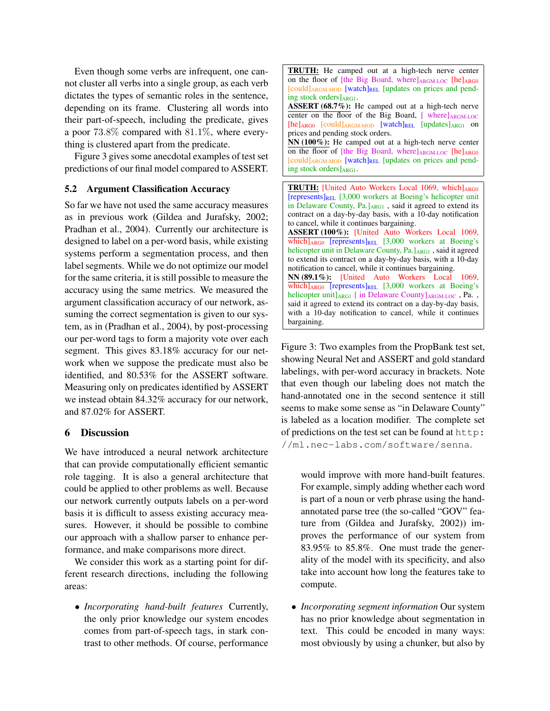Even though some verbs are infrequent, one cannot cluster all verbs into a single group, as each verb dictates the types of semantic roles in the sentence, depending on its frame. Clustering all words into their part-of-speech, including the predicate, gives a poor 73.8% compared with 81.1%, where everything is clustered apart from the predicate.

Figure 3 gives some anecdotal examples of test set predictions of our final model compared to ASSERT.

# 5.2 Argument Classification Accuracy

So far we have not used the same accuracy measures as in previous work (Gildea and Jurafsky, 2002; Pradhan et al., 2004). Currently our architecture is designed to label on a per-word basis, while existing systems perform a segmentation process, and then label segments. While we do not optimize our model for the same criteria, it is still possible to measure the accuracy using the same metrics. We measured the argument classification accuracy of our network, assuming the correct segmentation is given to our system, as in (Pradhan et al., 2004), by post-processing our per-word tags to form a majority vote over each segment. This gives 83.18% accuracy for our network when we suppose the predicate must also be identified, and 80.53% for the ASSERT software. Measuring only on predicates identified by ASSERT we instead obtain 84.32% accuracy for our network, and 87.02% for ASSERT.

# 6 Discussion

We have introduced a neural network architecture that can provide computationally efficient semantic role tagging. It is also a general architecture that could be applied to other problems as well. Because our network currently outputs labels on a per-word basis it is difficult to assess existing accuracy measures. However, it should be possible to combine our approach with a shallow parser to enhance performance, and make comparisons more direct.

We consider this work as a starting point for different research directions, including the following areas:

• *Incorporating hand-built features* Currently, the only prior knowledge our system encodes comes from part-of-speech tags, in stark contrast to other methods. Of course, performance

TRUTH: He camped out at a high-tech nerve center on the floor of [the Big Board, where] $_{\text{ARGM-LOC}}$  [he] $_{\text{ARGO}}$ [could]<sub>ARGM-MOD</sub> [watch]<sub>REL</sub> [updates on prices and pending stock orders $]_{ARG1}$ . ASSERT (68.7%): He camped out at a high-tech nerve center on the floor of the Big Board,  $[$  where] $_{\text{ARGM-LOC}}$  $[he]_{ARG0}$   $[could]_{ARGM-MOD}$   $[watch]_{REL}$   $[update]_{ARG1}$  on prices and pending stock orders. NN (100%): He camped out at a high-tech nerve center on the floor of [the Big Board, where] $_{\text{ARGM-LOC}}$  [he] $_{\text{ARGO}}$ [could]<sub>ARGM-MOD</sub> [watch]<sub>REL</sub> [updates on prices and pend-

ing stock orders $]_{ARG1}$ .

TRUTH: [United Auto Workers Local 1069, which]ARG0  $[represents]_{REL}$  [3,000 workers at Boeing's helicopter unit in Delaware County,  $Pa.$ ] $_{ARG1}$ , said it agreed to extend its contract on a day-by-day basis, with a 10-day notification to cancel, while it continues bargaining. ASSERT (100%): [United Auto Workers Local 1069,  $\overline{\text{which}}$ <sub>ARG0</sub> [represents]<sub>REL</sub> [3,000 workers at Boeing's helicopter unit in Delaware County, Pa. JARG1, said it agreed to extend its contract on a day-by-day basis, with a 10-day notification to cancel, while it continues bargaining. NN (89.1%): [United Auto Workers Local 1069,  $\overline{\text{which}}$ <sub>ARG0</sub> [represents]<sub>REL</sub> [3,000 workers at Boeing's helicopter unit] $_{\text{ARG1}}$  [ in Delaware County] $_{\text{ARGM-LOC}}$ , Pa., said it agreed to extend its contract on a day-by-day basis, with a 10-day notification to cancel, while it continues bargaining.

Figure 3: Two examples from the PropBank test set, showing Neural Net and ASSERT and gold standard labelings, with per-word accuracy in brackets. Note that even though our labeling does not match the hand-annotated one in the second sentence it still seems to make some sense as "in Delaware County" is labeled as a location modifier. The complete set of predictions on the test set can be found at http: //ml.nec-labs.com/software/senna.

would improve with more hand-built features. For example, simply adding whether each word is part of a noun or verb phrase using the handannotated parse tree (the so-called "GOV" feature from (Gildea and Jurafsky, 2002)) improves the performance of our system from 83.95% to 85.8%. One must trade the generality of the model with its specificity, and also take into account how long the features take to compute.

• *Incorporating segment information* Our system has no prior knowledge about segmentation in text. This could be encoded in many ways: most obviously by using a chunker, but also by